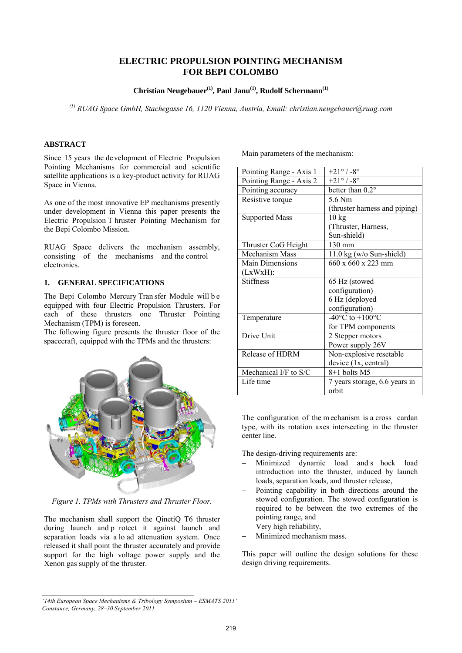# **ELECTRIC PROPULSION POINTING MECHANISM FOR BEPI COLOMBO**

**Christian Neugebauer(1), Paul Janu(1), Rudolf Schermann(1)**

*(1) RUAG Space GmbH, Stachegasse 16, 1120 Vienna, Austria, Email: christian.neugebauer@ruag.com* 

# **ABSTRACT**

Since 15 years the de velopment of Electric Propulsion Pointing Mechanisms for commercial and scientific satellite applications is a key-product activity for RUAG Space in Vienna.

As one of the most innovative EP mechanisms presently under development in Vienna this paper presents the Electric Propulsion T hruster Pointing Mechanism for the Bepi Colombo Mission.

RUAG Space delivers the mechanism assembly, consisting of the mechanisms and the control electronics.

### **1. GENERAL SPECIFICATIONS**

The Bepi Colombo Mercury Tran sfer Module will b e equipped with four Electric Propulsion Thrusters. For each of these thrusters one Thruster Pointing Mechanism (TPM) is foreseen.

The following figure presents the thruster floor of the spacecraft, equipped with the TPMs and the thrusters:



*Figure 1. TPMs with Thrusters and Thruster Floor.* 

The mechanism shall support the QinetiQ T6 thruster during launch and p rotect it against launch and separation loads via a lo ad attenuation system. Once released it shall point the thruster accurately and provide support for the high voltage power supply and the Xenon gas supply of the thruster.

Main parameters of the mechanism:

| Pointing Range - Axis 1 | $+21^{\circ}$ / -8°                   |
|-------------------------|---------------------------------------|
| Pointing Range - Axis 2 | $+21^{\circ}$ / -8°                   |
| Pointing accuracy       | better than $0.2^\circ$               |
| Resistive torque        | 5.6 Nm                                |
|                         | (thruster harness and piping)         |
| <b>Supported Mass</b>   | $10 \text{ kg}$                       |
|                         | (Thruster, Harness,                   |
|                         | Sun-shield)                           |
| Thruster CoG Height     | $130 \text{ mm}$                      |
| <b>Mechanism Mass</b>   | $11.0 \text{ kg}$ (w/o Sun-shield)    |
| <b>Main Dimensions</b>  | $660 \times 660 \times 223$ mm        |
| $(LxWxH)$ :             |                                       |
| <b>Stiffness</b>        | 65 Hz (stowed                         |
|                         | configuration)                        |
|                         | 6 Hz (deployed                        |
|                         | configuration)                        |
| Temperature             | -40 $^{\circ}$ C to +100 $^{\circ}$ C |
|                         | for TPM components                    |
| Drive Unit              | 2 Stepper motors                      |
|                         | Power supply 26V                      |
| Release of HDRM         | Non-explosive resetable               |
|                         | device (1x, central)                  |
| Mechanical I/F to S/C   | 8+1 bolts M5                          |
| Life time               | 7 years storage, 6.6 years in         |
|                         | orbit                                 |

The configuration of the m echanism is a cross cardan type, with its rotation axes intersecting in the thruster center line.

The design-driving requirements are:

- − Minimized dynamic load and s hock load introduction into the thruster, induced by launch loads, separation loads, and thruster release,
- Pointing capability in both directions around the stowed configuration. The stowed configuration is required to be between the two extremes of the pointing range, and
- Very high reliability,
- Minimized mechanism mass.

This paper will outline the design solutions for these design driving requirements.

*<sup>&#</sup>x27;14th European Space Mechanisms & Tribology Symposium – ESMATS 2011' Constance, Germany, 28–30 September 2011*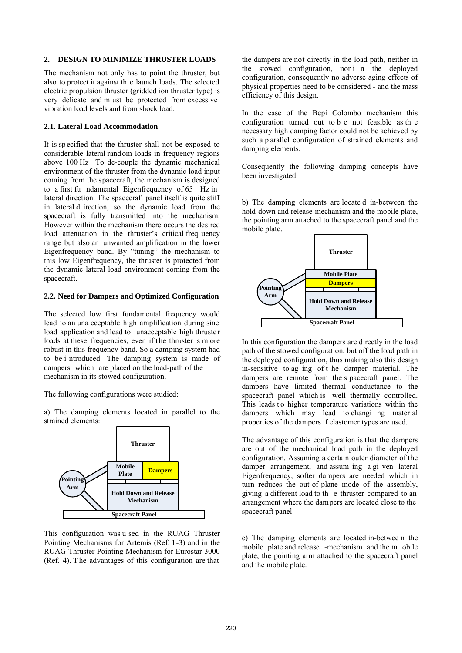#### **2. DESIGN TO MINIMIZE THRUSTER LOADS**

The mechanism not only has to point the thruster, but also to protect it against th e launch loads. The selected electric propulsion thruster (gridded ion thruster type) is very delicate and m ust be protected from excessive vibration load levels and from shock load.

# **2.1. Lateral Load Accommodation**

It is sp ecified that the thruster shall not be exposed to considerable lateral rand om loads in frequency regions above 100 Hz . To de-couple the dynamic mechanical environment of the thruster from the dynamic load input coming from the spacecraft, the mechanism is designed to a first fu ndamental Eigenfrequency of 65 Hz in lateral direction. The spacecraft panel itself is quite stiff in lateral d irection, so the dynamic load from the spacecraft is fully transmitted into the mechanism. However within the mechanism there occurs the desired load attenuation in the thruster's critical freq uency range but also an unwanted amplification in the lower Eigenfrequency band. By "tuning" the mechanism to this low Eigenfrequency, the thruster is protected from the dynamic lateral load environment coming from the spacecraft.

# **2.2. Need for Dampers and Optimized Configuration**

The selected low first fundamental frequency would lead to an una cceptable high amplification during sine load application and lead to unacceptable high thruster loads at these frequencies, even if the thruster is m ore robust in this frequency band. So a damping system had to be i ntroduced. The damping system is made of dampers which are placed on the load-path of the mechanism in its stowed configuration.

The following configurations were studied:

a) The damping elements located in parallel to the strained elements:



This configuration was u sed in the RUAG Thruster Pointing Mechanisms for Artemis (Ref. 1-3) and in the RUAG Thruster Pointing Mechanism for Eurostar 3000 (Ref. 4). T he advantages of this configuration are that

the dampers are not directly in the load path, neither in the stowed configuration, nor i n the deployed configuration, consequently no adverse aging effects of physical properties need to be considered - and the mass efficiency of this design.

In the case of the Bepi Colombo mechanism this configuration turned out to b e not feasible as th e necessary high damping factor could not be achieved by such a p arallel configuration of strained elements and damping elements.

Consequently the following damping concepts have been investigated:

b) The damping elements are locate d in-between the hold-down and release-mechanism and the mobile plate, the pointing arm attached to the spacecraft panel and the mobile plate.



In this configuration the dampers are directly in the load path of the stowed configuration, but off the load path in the deployed configuration, thus making also this design in-sensitive to ag ing of t he damper material. The dampers are remote from the s pacecraft panel. The dampers have limited thermal conductance to the spacecraft panel which is well thermally controlled. This leads to higher temperature variations within the dampers which may lead to changi ng material properties of the dampers if elastomer types are used.

The advantage of this configuration is that the dampers are out of the mechanical load path in the deployed configuration. Assuming a certain outer diameter of the damper arrangement, and assum ing a gi ven lateral Eigenfrequency, softer dampers are needed which in turn reduces the out-of-plane mode of the assembly, giving a different load to th e thruster compared to an arrangement where the dampers are located close to the spacecraft panel.

c) The damping elements are located in-betwee n the mobile plate and release -mechanism and the m obile plate, the pointing arm attached to the spacecraft panel and the mobile plate.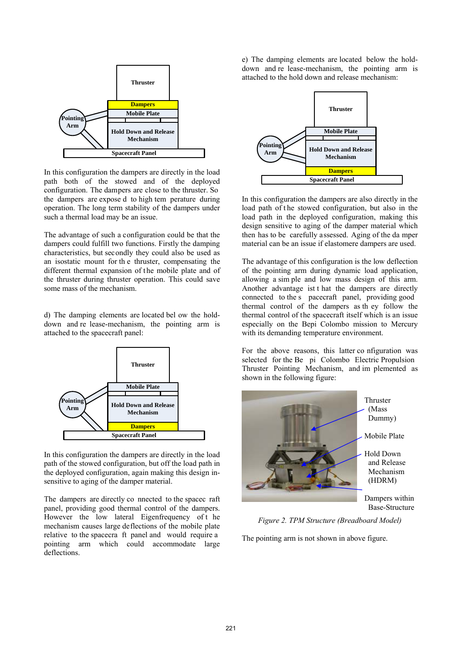

In this configuration the dampers are directly in the load path both of the stowed and of the deployed configuration. The dampers are close to the thruster. So the dampers are expose d to high tem perature during operation. The long term stability of the dampers under such a thermal load may be an issue.

The advantage of such a configuration could be that the dampers could fulfill two functions. Firstly the damping characteristics, but secondly they could also be used as an isostatic mount for th e thruster, compensating the different thermal expansion of the mobile plate and of the thruster during thruster operation. This could save some mass of the mechanism.

d) The damping elements are located bel ow the holddown and re lease-mechanism, the pointing arm is attached to the spacecraft panel:



In this configuration the dampers are directly in the load path of the stowed configuration, but off the load path in the deployed configuration, again making this design insensitive to aging of the damper material.

The dampers are directly co nnected to the spacec raft panel, providing good thermal control of the dampers. However the low lateral Eigenfrequency of the mechanism causes large deflections of the mobile plate relative to the spacecra ft panel and would require a pointing arm which could accommodate large deflections.

e) The damping elements are located below the holddown and re lease-mechanism, the pointing arm is attached to the hold down and release mechanism:



In this configuration the dampers are also directly in the load path of the stowed configuration, but also in the load path in the deployed configuration, making this design sensitive to aging of the damper material which then has to be carefully assessed. Aging of the da mper material can be an issue if elastomere dampers are used.

The advantage of this configuration is the low deflection of the pointing arm during dynamic load application, allowing a sim ple and low mass design of this arm. Another advantage ist t hat the dampers are directly connected to the s pacecraft panel, providing good thermal control of the dampers as th ey follow the thermal control of the spacecraft itself which is an issue especially on the Bepi Colombo mission to Mercury with its demanding temperature environment.

For the above reasons, this latter co nfiguration was selected for the Be pi Colombo Electric Propulsion Thruster Pointing Mechanism, and im plemented as shown in the following figure:



*Figure 2. TPM Structure (Breadboard Model)* 

The pointing arm is not shown in above figure.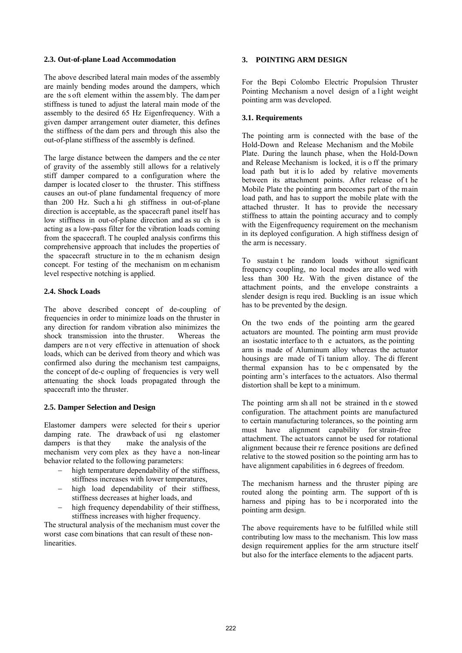### **2.3. Out-of-plane Load Accommodation**

The above described lateral main modes of the assembly are mainly bending modes around the dampers, which are the s oft element within the assem bly. The dam per stiffness is tuned to adjust the lateral main mode of the assembly to the desired 65 Hz Eigenfrequency. With a given damper arrangement outer diameter, this defines the stiffness of the dam pers and through this also the out-of-plane stiffness of the assembly is defined.

The large distance between the dampers and the ce nter of gravity of the assembly still allows for a relatively stiff damper compared to a configuration where the damper is located closer to the thruster. This stiffness causes an out-of plane fundamental frequency of more than 200 Hz. Such a hi gh stiffness in out-of-plane direction is acceptable, as the spacecraft panel itself has low stiffness in out-of-plane direction and as su ch is acting as a low-pass filter for the vibration loads coming from the spacecraft. T he coupled analysis confirms this comprehensive approach that includes the properties of the spacecraft structure in to the m echanism design concept. For testing of the mechanism on m echanism level respective notching is applied.

# **2.4. Shock Loads**

The above described concept of de-coupling of frequencies in order to minimize loads on the thruster in any direction for random vibration also minimizes the shock transmission into the thruster Whereas the shock transmission into the thruster. dampers are n ot very effective in attenuation of shock loads, which can be derived from theory and which was confirmed also during the mechanism test campaigns, the concept of de-c oupling of frequencies is very well attenuating the shock loads propagated through the spacecraft into the thruster.

# **2.5. Damper Selection and Design**

Elastomer dampers were selected for their s uperior damping rate. The drawback of usi ng elastomer dampers is that they make the analysis of the mechanism very com plex as they have a non-linear behavior related to the following parameters:

- − high temperature dependability of the stiffness, stiffness increases with lower temperatures,
- − high load dependability of their stiffness, stiffness decreases at higher loads, and
- high frequency dependability of their stiffness, stiffness increases with higher frequency.

The structural analysis of the mechanism must cover the worst case com binations that can result of these nonlinearities.

# **3. POINTING ARM DESIGN**

For the Bepi Colombo Electric Propulsion Thruster Pointing Mechanism a novel design of a l ight weight pointing arm was developed.

# **3.1. Requirements**

The pointing arm is connected with the base of the Hold-Down and Release Mechanism and the Mobile Plate. During the launch phase, when the Hold-Down and Release Mechanism is locked, it is o ff the primary load path but it is lo aded by relative movements between its attachment points. After release of t he Mobile Plate the pointing arm becomes part of the main load path, and has to support the mobile plate with the attached thruster. It has to provide the necessary stiffness to attain the pointing accuracy and to comply with the Eigenfrequency requirement on the mechanism in its deployed configuration. A high stiffness design of the arm is necessary.

To sustain t he random loads without significant frequency coupling, no local modes are allo wed with less than 300 Hz. With the given distance of the attachment points, and the envelope constraints a slender design is requ ired. Buckling is an issue which has to be prevented by the design.

On the two ends of the pointing arm the geared actuators are mounted. The pointing arm must provide an isostatic interface to th e actuators, as the pointing arm is made of Aluminum alloy whereas the actuator housings are made of Ti tanium alloy. The di fferent thermal expansion has to be c ompensated by the pointing arm's interfaces to the actuators. Also thermal distortion shall be kept to a minimum.

The pointing arm sh all not be strained in th e stowed configuration. The attachment points are manufactured to certain manufacturing tolerances, so the pointing arm must have alignment capability for strain-free attachment. The actuators cannot be used for rotational alignment because their re ference positions are defined relative to the stowed position so the pointing arm has to have alignment capabilities in 6 degrees of freedom.

The mechanism harness and the thruster piping are routed along the pointing arm. The support of th is harness and piping has to be i ncorporated into the pointing arm design.

The above requirements have to be fulfilled while still contributing low mass to the mechanism. This low mass design requirement applies for the arm structure itself but also for the interface elements to the adjacent parts.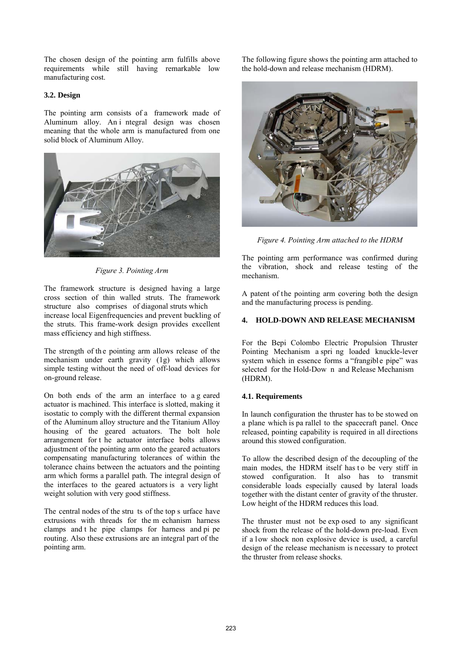The chosen design of the pointing arm fulfills above requirements while still having remarkable low manufacturing cost.

## **3.2. Design**

The pointing arm consists of a framework made of Aluminum alloy. An i ntegral design was chosen meaning that the whole arm is manufactured from one solid block of Aluminum Alloy.



*Figure 3. Pointing Arm* 

The framework structure is designed having a large cross section of thin walled struts. The framework structure also comprises of diagonal struts which increase local Eigenfrequencies and prevent buckling of the struts. This frame-work design provides excellent mass efficiency and high stiffness.

The strength of the pointing arm allows release of the mechanism under earth gravity (1g) which allows simple testing without the need of off-load devices for on-ground release.

On both ends of the arm an interface to a g eared actuator is machined. This interface is slotted, making it isostatic to comply with the different thermal expansion of the Aluminum alloy structure and the Titanium Alloy housing of the geared actuators. The bolt hole arrangement for t he actuator interface bolts allows adjustment of the pointing arm onto the geared actuators compensating manufacturing tolerances of within the tolerance chains between the actuators and the pointing arm which forms a parallel path. The integral design of the interfaces to the geared actuators is a very light weight solution with very good stiffness.

The central nodes of the stru ts of the top s urface have extrusions with threads for the m echanism harness clamps and t he pipe clamps for harness and pi pe routing. Also these extrusions are an integral part of the pointing arm.

The following figure shows the pointing arm attached to the hold-down and release mechanism (HDRM).



*Figure 4. Pointing Arm attached to the HDRM* 

The pointing arm performance was confirmed during the vibration, shock and release testing of the mechanism.

A patent of the pointing arm covering both the design and the manufacturing process is pending.

# **4. HOLD-DOWN AND RELEASE MECHANISM**

For the Bepi Colombo Electric Propulsion Thruster Pointing Mechanism a spri ng loaded knuckle-lever system which in essence forms a "frangible pipe" was selected for the Hold-Dow n and Release Mechanism (HDRM).

# **4.1. Requirements**

In launch configuration the thruster has to be stowed on a plane which is pa rallel to the spacecraft panel. Once released, pointing capability is required in all directions around this stowed configuration.

To allow the described design of the decoupling of the main modes, the HDRM itself has to be very stiff in stowed configuration. It also has to transmit considerable loads especially caused by lateral loads together with the distant center of gravity of the thruster. Low height of the HDRM reduces this load.

The thruster must not be exp osed to any significant shock from the release of the hold-down pre-load. Even if a low shock non explosive device is used, a careful design of the release mechanism is necessary to protect the thruster from release shocks.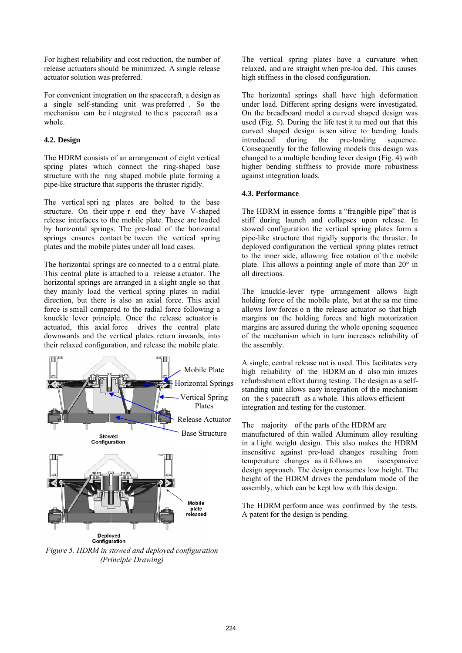For highest reliability and cost reduction, the number of release actuators should be minimized. A single release actuator solution was preferred.

For convenient integration on the spacecraft, a design as a single self-standing unit was preferred . So the mechanism can be i ntegrated to the s pacecraft as a whole.

# **4.2. Design**

The HDRM consists of an arrangement of eight vertical spring plates which connect the ring-shaped base structure with the ring shaped mobile plate forming a pipe-like structure that supports the thruster rigidly.

The vertical spri ng plates are bolted to the base structure. On their uppe r end they have V-shaped release interfaces to the mobile plate. These are loaded by horizontal springs. The pre-load of the horizontal springs ensures contact be tween the vertical spring plates and the mobile plates under all load cases.

The horizontal springs are co nnected to a c entral plate. This central plate is attached to a release actuator. The horizontal springs are arranged in a slight angle so that they mainly load the vertical spring plates in radial direction, but there is also an axial force. This axial force is small compared to the radial force following a knuckle lever principle. Once the release actuator is actuated, this axial force drives the central plate downwards and the vertical plates return inwards, into their relaxed configuration, and release the mobile plate.



*Figure 5. HDRM in stowed and deployed configuration (Principle Drawing)* 

The vertical spring plates have a curvature when relaxed, and a re straight when pre-loa ded. This causes high stiffness in the closed configuration.

The horizontal springs shall have high deformation under load. Different spring designs were investigated. On the breadboard model a cu rved shaped design was used (Fig. 5). During the life test it tu rned out that this curved shaped design is sen sitive to bending loads introduced during the pre-loading sequence. Consequently for the following models this design was changed to a multiple bending lever design (Fig. 4) with higher bending stiffness to provide more robustness against integration loads.

# **4.3. Performance**

The HDRM in essence forms a "frangible pipe" that is stiff during launch and collapses upon release. In stowed configuration the vertical spring plates form a pipe-like structure that rigidly supports the thruster. In deployed configuration the vertical spring plates retract to the inner side, allowing free rotation of th e mobile plate. This allows a pointing angle of more than 20° in all directions.

The knuckle-lever type arrangement allows high holding force of the mobile plate, but at the sa me time allows low forces o n the release actuator so that high margins on the holding forces and high motorization margins are assured during the whole opening sequence of the mechanism which in turn increases reliability of the assembly.

A single, central release nut is used. This facilitates very high reliability of the HDRM an d also min imizes refurbishment effort during testing. The design as a selfstanding unit allows easy integration of the mechanism on the s pacecraft as a whole. This allows efficient integration and testing for the customer.

The majority of the parts of the HDRM are

manufactured of thin walled Aluminum alloy resulting in a l ight weight design. This also makes the HDRM insensitive against pre-load changes resulting from temperature changes as it follows an isoexpansive design approach. The design consumes low height. The height of the HDRM drives the pendulum mode of the assembly, which can be kept low with this design.

The HDRM perform ance was confirmed by the tests. A patent for the design is pending.